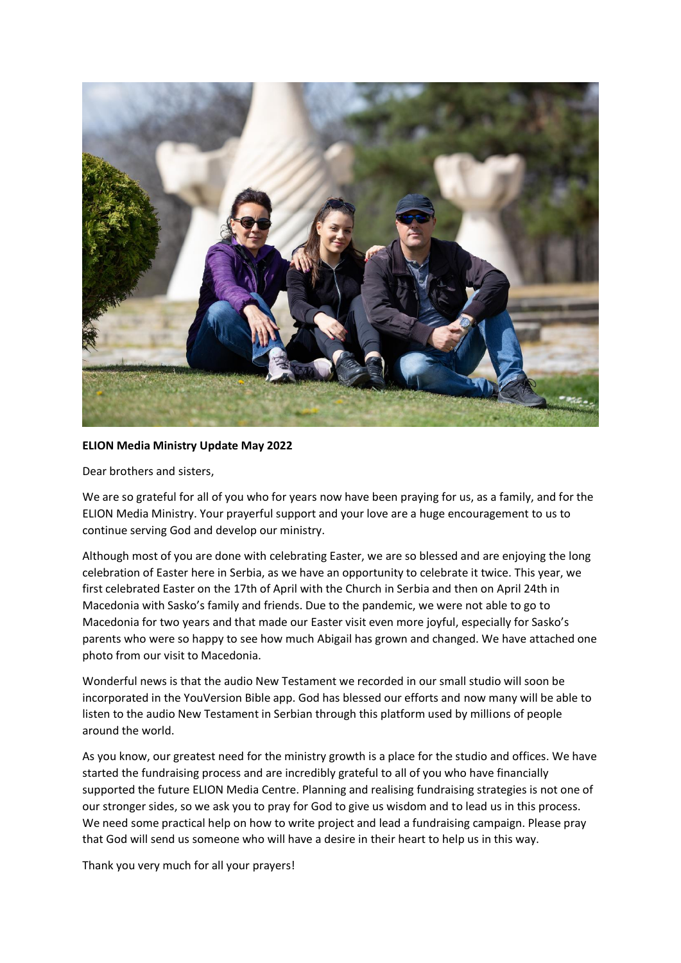

## **ELION Media Ministry Update May 2022**

Dear brothers and sisters,

We are so grateful for all of you who for years now have been praying for us, as a family, and for the ELION Media Ministry. Your prayerful support and your love are a huge encouragement to us to continue serving God and develop our ministry.

Although most of you are done with celebrating Easter, we are so blessed and are enjoying the long celebration of Easter here in Serbia, as we have an opportunity to celebrate it twice. This year, we first celebrated Easter on the 17th of April with the Church in Serbia and then on April 24th in Macedonia with Sasko's family and friends. Due to the pandemic, we were not able to go to Macedonia for two years and that made our Easter visit even more joyful, especially for Sasko's parents who were so happy to see how much Abigail has grown and changed. We have attached one photo from our visit to Macedonia.

Wonderful news is that the audio New Testament we recorded in our small studio will soon be incorporated in the YouVersion Bible app. God has blessed our efforts and now many will be able to listen to the audio New Testament in Serbian through this platform used by millions of people around the world.

As you know, our greatest need for the ministry growth is a place for the studio and offices. We have started the fundraising process and are incredibly grateful to all of you who have financially supported the future ELION Media Centre. Planning and realising fundraising strategies is not one of our stronger sides, so we ask you to pray for God to give us wisdom and to lead us in this process. We need some practical help on how to write project and lead a fundraising campaign. Please pray that God will send us someone who will have a desire in their heart to help us in this way.

Thank you very much for all your prayers!